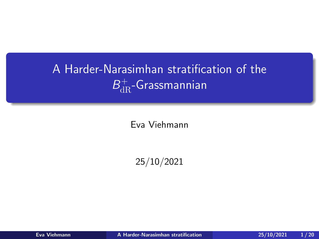# <span id="page-0-0"></span>A Harder-Narasimhan stratification of the  $B_{\mathrm{dR}}^+$ -Grassmannian

Eva Viehmann

25/10/2021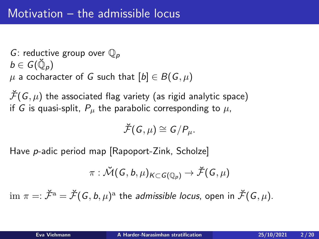G: reductive group over  $\mathbb{O}_p$  $b\in\mathit{G}(\breve{\mathbb{Q}}_p)$  $\mu$  a cocharacter of G such that  $[b] \in B(G, \mu)$ 

 $\mathcal{F}(G, \mu)$  the associated flag variety (as rigid analytic space) if G is quasi-split,  $P_{\mu}$  the parabolic corresponding to  $\mu$ ,

 $\breve{\mathcal{F}}(G, \mu) \cong \mathcal{G}/P_{\mu}.$ 

Have p-adic period map [Rapoport-Zink, Scholze]

$$
\pi:\breve{\mathcal{M}}(\mathit{G},\mathit{b},\mu)_{\mathcal{K}\subset\mathcal{G}(\mathbb{Q}_p)}\rightarrow\breve{\mathcal{F}}(\mathit{G},\mu)
$$

 $\dim\,\pi=:\check{\mathcal{F}}^{\mathrm{a}}=\check{\mathcal{F}}(\mathcal{G},b,\mu)^{\mathrm{a}}$  the *admissible locus*, open in  $\check{\mathcal{F}}(\mathcal{G},\mu).$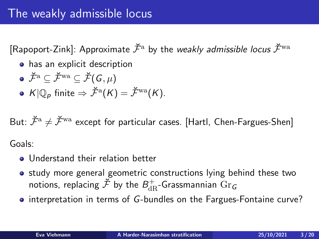[Rapoport-Zink]: Approximate  $\check{\mathcal{F}}^{\text{a}}$  by the *weakly admissible locus*  $\check{\mathcal{F}}^{\text{wa}}$ 

- has an explicit description
- $\bullet \ \breve{\mathcal{F}}^{\mathrm{a}} \subset \breve{\mathcal{F}}^{\mathrm{wa}} \subset \breve{\mathcal{F}}(\mathcal{G}, \mu)$
- $K|\mathbb{Q}_p$  finite  $\Rightarrow \check{\mathcal{F}}^\mathrm{a}(K) = \check{\mathcal{F}}^\mathrm{wa}(K).$

But:  $\check{\mathcal{F}}^a \neq \check{\mathcal{F}}^{wa}$  except for particular cases. [Hartl, Chen-Fargues-Shen] Goals:

- **Understand their relation better**
- study more general geometric constructions lying behind these two notions, replacing  $\breve{\mathcal{F}}$  by the  $B_{\mathrm{dR}}^+$ -Grassmannian  $\mathrm{Gr}_\mathcal{G}$
- interpretation in terms of G-bundles on the Fargues-Fontaine curve?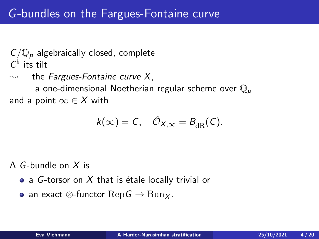$C/\mathbb{Q}_p$  algebraically closed, complete  $C^{\flat}$  its tilt

 $\rightsquigarrow$  the Fargues-Fontaine curve X. a one-dimensional Noetherian regular scheme over  $\mathbb{Q}_p$ and a point  $\infty \in X$  with

$$
k(\infty)=C, \quad \hat{\mathcal{O}}_{X,\infty}=B^+_{\mathrm{dR}}(C).
$$

A G-bundle on  $X$  is

- a G-torsor on X that is étale locally trivial or
- an exact  $\otimes$ -functor  $\text{Rep} \mathcal{G} \to \text{Bun}_X$ .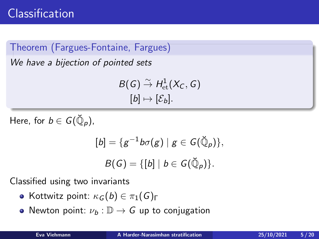Theorem (Fargues-Fontaine, Fargues)

We have a bijection of pointed sets

 $B(G) \stackrel{\sim}{\rightarrow} H^1_{\text{\rm et}}(X_C, G)$  $[b] \mapsto [\mathcal{E}_b].$ 

Here, for  $b\in G(\breve{\mathbb Q}_\rho).$ 

$$
[b] = \{g^{-1}b\sigma(g) \mid g \in G(\breve{\mathbb{Q}}_p)\},
$$
  

$$
B(G) = \{[b] \mid b \in G(\breve{\mathbb{Q}}_p)\}.
$$

Classified using two invariants

- **•** Kottwitz point:  $\kappa_G(b) \in \pi_1(G)$ <sub>Γ</sub>
- Newton point:  $\nu_b : \mathbb{D} \to G$  up to conjugation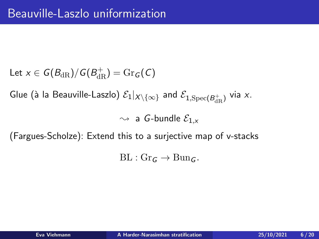Let  $x \in G(B_{\mathrm{dR}})/G(B_{\mathrm{dR}}^+) = \mathrm{Gr}_G(C)$ 

Glue (à la Beauville-Laszlo)  $\mathcal E_1|_{X\setminus\{\infty\}}$  and  $\mathcal E_{1,\mathrm{Spec}(B_{\mathrm{dR}}^+)}$  via  $x.$ 

 $\rightsquigarrow$  a G-bundle  $\mathcal{E}_{1,x}$ 

(Fargues-Scholze): Extend this to a surjective map of v-stacks

 $BL : Gr_G \rightarrow Bun_G$ .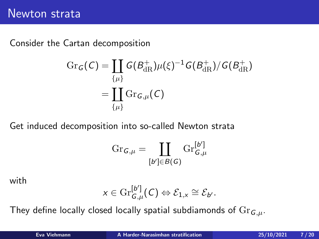Consider the Cartan decomposition

$$
\begin{aligned} \mathrm{Gr}_{\mathcal{G}}(\mathcal{C}) &= \coprod_{\{\mu\}} \mathcal{G}(B^+_{\mathrm{dR}})\mu(\xi)^{-1} \mathcal{G}(B^+_{\mathrm{dR}})/\mathcal{G}(B^+_{\mathrm{dR}}) \\ &= \coprod_{\{\mu\}} \mathrm{Gr}_{\mathcal{G},\mu}(\mathcal{C}) \end{aligned}
$$

Get induced decomposition into so-called Newton strata

$$
\textnormal{Gr}_{G,\mu}=\coprod_{[b']\in B(G)}\textnormal{Gr}_{G,\mu}^{[b']}
$$

with

$$
x\in \mathrm{Gr}_{G,\mu}^{[b']}(C)\Leftrightarrow \mathcal{E}_{1,x}\cong \mathcal{E}_{b'}.
$$

They define locally closed locally spatial subdiamonds of  $Gr_{G,\mu}$ .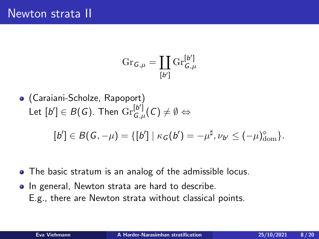$$
\textnormal{Gr}_{\bm{\mathsf{G}},\mu}=\coprod_{\bm{\mathsf{[}} b'\bm{\mathsf{]}}}\textnormal{Gr}_{\bm{\mathsf{G}},\mu}^{[\bm{b}']}
$$

(Caraiani-Scholze, Rapoport) Let  $[b'] \in B(\mathcal{G})$ . Then  $\mathrm{Gr}^{[b']}_{G,\mathcal{G}}$  $\mathcal{C}_{G,\mu}^{[p]}(C) \neq \emptyset \Leftrightarrow$ 

$$
[b'] \in B(G, -\mu) = \{ [b'] \mid \kappa_G(b') = -\mu^{\sharp}, \nu_{b'} \leq (-\mu)_{\text{dom}}^{\diamond} \}.
$$

- The basic stratum is an analog of the admissible locus.
- In general, Newton strata are hard to describe. E.g., there are Newton strata without classical points.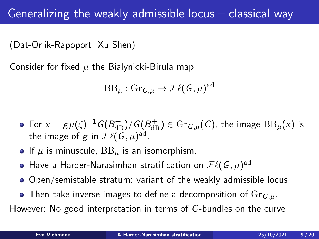## Generalizing the weakly admissible locus – classical way

(Dat-Orlik-Rapoport, Xu Shen)

Consider for fixed  $\mu$  the Bialynicki-Birula map

$$
\text{BB}_{\mu}: \text{Gr}_{\mathcal{G},\mu} \to \mathcal{F}\ell(\mathcal{G},\mu)^{\text{ad}}
$$

- For  $x=g\mu(\xi)^{-1}G(B^+_{\mathrm{dR}})/G(\underline{B}^+_{\mathrm{dR}})\in\mathrm{Gr}_{\mathcal{G},\mu}(\mathcal{C}),$  the image  $\mathrm{BB}_\mu(x)$  is the image of  $g$  in  $\mathcal{F}\ell(\overline{\mathcal{G}},\mu)^{\mathrm{ad}}.$
- If  $\mu$  is minuscule,  $BB_\mu$  is an isomorphism.
- Have a Harder-Narasimhan stratification on  $\mathcal{F}\ell(\mathsf{G},\mu)^{\mathrm{ad}}$
- Open/semistable stratum: variant of the weakly admissible locus
- Then take inverse images to define a decomposition of  $\text{Gr}_{G,\mu}$ .

However: No good interpretation in terms of G-bundles on the curve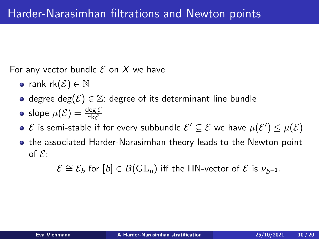For any vector bundle  $\mathcal E$  on  $X$  we have

- rank  $rk(\mathcal{E}) \in \mathbb{N}$
- degree deg $(\mathcal{E}) \in \mathbb{Z}$ : degree of its determinant line bundle
- slope  $\mu(\mathcal{E}) = \frac{\deg \mathcal{E}}{\text{rk}\mathcal{E}}$
- $\mathcal E$  is semi-stable if for every subbundle  $\mathcal E'\subseteq \mathcal E$  we have  $\mu(\mathcal E')\leq \mu(\mathcal E)$
- **•** the associated Harder-Narasimhan theory leads to the Newton point of  $\mathcal{E}$ :

 $\mathcal{E} \cong \mathcal{E}_b$  for  $[b] \in B(\mathrm{GL}_n)$  iff the HN-vector of  $\mathcal E$  is  $\nu_{b-1}$ .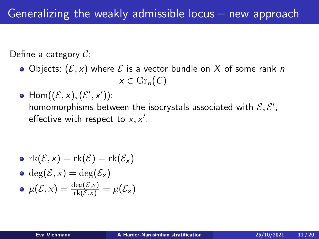Define a category  $C$ :

- Objects:  $(\mathcal{E}, x)$  where  $\mathcal E$  is a vector bundle on X of some rank n  $x \in \mathrm{Gr}_n(\mathcal{C}).$
- $\mathsf{Hom}((\mathcal{E},x),(\mathcal{E}',x'))$ : homomorphisms between the isocrystals associated with  $\mathcal{E}, \mathcal{E}',$ effective with respect to  $x, x'$ .

\n- $$
\operatorname{rk}(\mathcal{E}, x) = \operatorname{rk}(\mathcal{E}) = \operatorname{rk}(\mathcal{E}_x)
$$
\n- $\deg(\mathcal{E}, x) = \deg(\mathcal{E}_x)$
\n- $\mu(\mathcal{E}, x) = \frac{\deg(\mathcal{E}, x)}{\operatorname{rk}(\mathcal{E}, x)} = \mu(\mathcal{E}_x)$
\n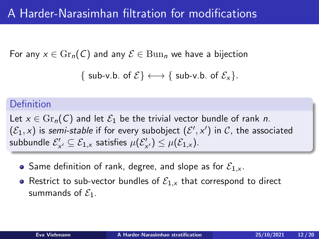For any  $x \in \mathrm{Gr}_n(\mathcal{C})$  and any  $\mathcal{E} \in \mathrm{Bun}_n$  we have a bijection

```
\{ sub-v.b. of \mathcal{E} \} \longleftrightarrow \{ sub-v.b. of \mathcal{E}_x \}.
```
#### Definition

Let  $x \in \text{Gr}_n(C)$  and let  $\mathcal{E}_1$  be the trivial vector bundle of rank n.  $(\mathcal{E}_1, x)$  is semi-stable if for every subobject  $(\mathcal{E}', x')$  in  $\mathcal{C}$ , the associated subbundle  $\mathcal{E}_{\mathsf{x}'}' \subseteq \mathcal{E}_{1,\mathsf{x}}$  satisfies  $\mu(\mathcal{E}_{\mathsf{x}'}') \leq \mu(\mathcal{E}_{1,\mathsf{x}})$ .

- Same definition of rank, degree, and slope as for  $\mathcal{E}_{1,x}$ .
- Restrict to sub-vector bundles of  $\mathcal{E}_{1,x}$  that correspond to direct summands of  $\mathcal{E}_1$ .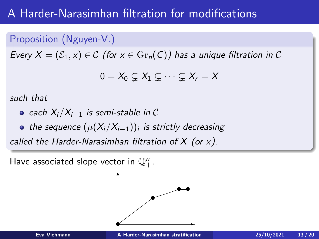## A Harder-Narasimhan filtration for modifications

### Proposition (Nguyen-V.)

Every  $X = (\mathcal{E}_1, x) \in \mathcal{C}$  (for  $x \in \text{Gr}_n(\mathcal{C})$ ) has a unique filtration in  $\mathcal{C}$ 

$$
0=X_0\subsetneq X_1\subsetneq\cdots\subsetneq X_r=X
$$

such that

- each  $X_i/X_{i-1}$  is semi-stable in C
- the sequence  $(\mu(X_{i}/X_{i-1}))_{i}$  is strictly decreasing

called the Harder-Narasimhan filtration of  $X$  (or  $x$ ).

Have associated slope vector in  $\mathbb{Q}^n_+$ .

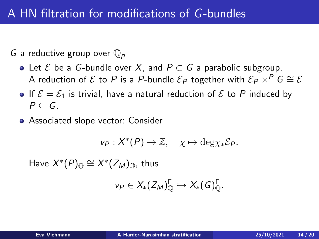G a reductive group over  $\mathbb{Q}_p$ 

- Let  $\mathcal E$  be a G-bundle over X, and  $P \subset G$  a parabolic subgroup. A reduction of E to P is a P-bundle  $\mathcal{E}_P$  together with  $\mathcal{E}_P \times^P G \cong \mathcal{E}$
- If  $\mathcal{E} = \mathcal{E}_1$  is trivial, have a natural reduction of  $\mathcal{E}$  to P induced by  $P \subset G$ .
- Associated slope vector: Consider

$$
v_P: X^*(P) \to \mathbb{Z}, \quad \chi \mapsto \deg \chi_* \mathcal{E}_P.
$$

Have  $X^*(P)_{\mathbb{Q}} \cong X^*(Z_M)_{\mathbb{Q}}$ , thus

$$
v_P \in X_*(Z_M)_{\mathbb{Q}}^{\Gamma} \hookrightarrow X_*(G)_{\mathbb{Q}}^{\Gamma}.
$$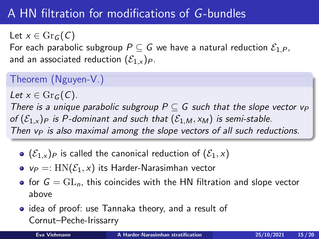# A HN filtration for modifications of G-bundles

Let  $x \in \text{Gr}_G(C)$ 

For each parabolic subgroup  $P \subseteq G$  we have a natural reduction  $\mathcal{E}_{1,P}$ , and an associated reduction  $(\mathcal{E}_{1,x})_P$ .

## Theorem (Nguyen-V.)

Let  $x \in \text{Gr}_G(C)$ . There is a unique parabolic subgroup  $P \subseteq G$  such that the slope vector  $v_P$ of  $(\mathcal{E}_{1,x})_P$  is P-dominant and such that  $(\mathcal{E}_{1,M}, x_M)$  is semi-stable. Then  $v_P$  is also maximal among the slope vectors of all such reductions.

- $\bullet$   $(\mathcal{E}_{1,x})_P$  is called the canonical reduction of  $(\mathcal{E}_1, x)$
- $v_P =: HN(\mathcal{E}_1, x)$  its Harder-Narasimhan vector
- for  $G = GL_n$ , this coincides with the HN filtration and slope vector above
- idea of proof: use Tannaka theory, and a result of Cornut–Peche-Irissarry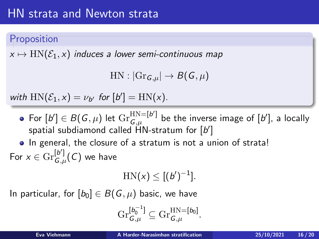## Proposition

 $x \mapsto HN(\mathcal{E}_1, x)$  induces a lower semi-continuous map

```
HN: |Gr_{G,\mu}| \to B(G,\mu)
```
with  $HN(\mathcal{E}_1, x) = \nu_{b'}$  for  $[b'] = HN(x)$ .

For  $[b'] \in B(G, \mu)$  let  $\mathrm{Gr}_{G,\mu}^{\mathrm{HN}=[b']}$  $G_{,\mu}^{\rm HN=[b^\prime]}$  be the inverse image of  $[b^\prime]$ , a locally spatial subdiamond called  $\hat{\bm{\mathsf{H}}}$ N-stratum for  $[b']$ 

• In general, the closure of a stratum is not a union of strata! For  $x \in \mathrm{Gr}_{G}^{[b']}$  $\mathcal{C}^{\nu \, \nu }_{G,\mu}(\mathcal{C})$  we have

$$
HN(x) \leq [(b')^{-1}].
$$

In particular, for  $[b_0] \in B(G, \mu)$  basic, we have

$$
\mathrm{Gr}^{[b_0^{-1}]}_{G,\mu}\subseteq \mathrm{Gr}^{\mathrm{HN}=[b_0]}_{G,\mu}.
$$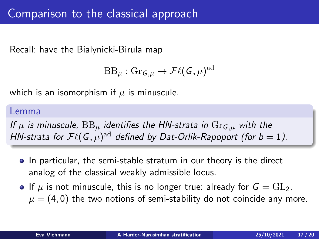Recall: have the Bialynicki-Birula map

$$
\text{BB}_{\mu}: \text{Gr}_{\mathsf{G},\mu} \to \mathcal{F}\ell(\mathsf{G},\mu)^{\text{ad}}
$$

which is an isomorphism if  $\mu$  is minuscule.

#### Lemma

If  $\mu$  is minuscule,  $BB_u$  identifies the HN-strata in  $Gr_{G,u}$  with the HN-strata for  $\mathcal{F}\ell(\mathsf{G},\mu)^\text{ad}$  defined by Dat-Orlik-Rapoport (for  $b=1$ ).

- In particular, the semi-stable stratum in our theory is the direct analog of the classical weakly admissible locus.
- If  $\mu$  is not minuscule, this is no longer true: already for  $G = GL_2$ .  $\mu = (4, 0)$  the two notions of semi-stability do not coincide any more.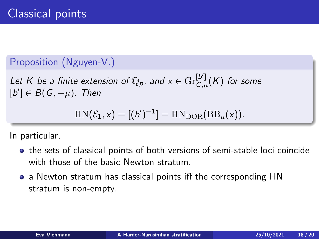#### Proposition (Nguyen-V.)

Let K be a finite extension of  $\mathbb{Q}_p$ , and  $x \in \mathrm{Gr}^{[b']}_{G,\mu}$  $\mathop{G}\limits^{\mathfrak{p}}_{,\mu}(K)$  for some  $[b'] \in B(G, -\mu)$ . Then

$$
HN(\mathcal{E}_1, x) = [(b')^{-1}] = HNDOR(BB\mu(x)).
$$

In particular,

- **•** the sets of classical points of both versions of semi-stable loci coincide with those of the basic Newton stratum.
- a Newton stratum has classical points iff the corresponding HN stratum is non-empty.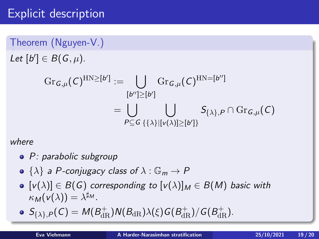## Explicit description

Theorem (Nguyen-V.) Let  $[b'] \in B(G, \mu)$ .

$$
\begin{aligned} \textup{Gr}_{G,\mu}(C)^{\textup{HN}\geq [b']}:&=\bigcup_{[b'']\geq [b']}\textup{Gr}_{G,\mu}(C)^{\textup{HN}=[b'']}\\&=\bigcup_{P\subseteq G}\bigcup_{\{\{\lambda\}|[v(\lambda)]\geq [b']\}}S_{\{\lambda\},P}\cap\textup{Gr}_{G,\mu}(C)\end{aligned}
$$

where

- P: parabolic subgroup
- $\{\lambda\}$  a P-conjugacy class of  $\lambda : \mathbb{G}_m \to P$
- $[v(\lambda)] \in B(G)$  corresponding to  $[v(\lambda)]_M \in B(M)$  basic with  $\kappa_{\mathcal{M}}(v(\lambda)) = \lambda^{\sharp_{\mathcal{M}}}.$
- $\mathcal{S}_{\{\lambda\},P}(\mathcal{C}) = \mathcal{M}(B^+_{\mathrm{dR}})\mathcal{N}(B_{\mathrm{dR}})\lambda(\xi) \mathcal{G}(B^+_{\mathrm{dR}})/\mathcal{G}(B^+_{\mathrm{dR}}).$